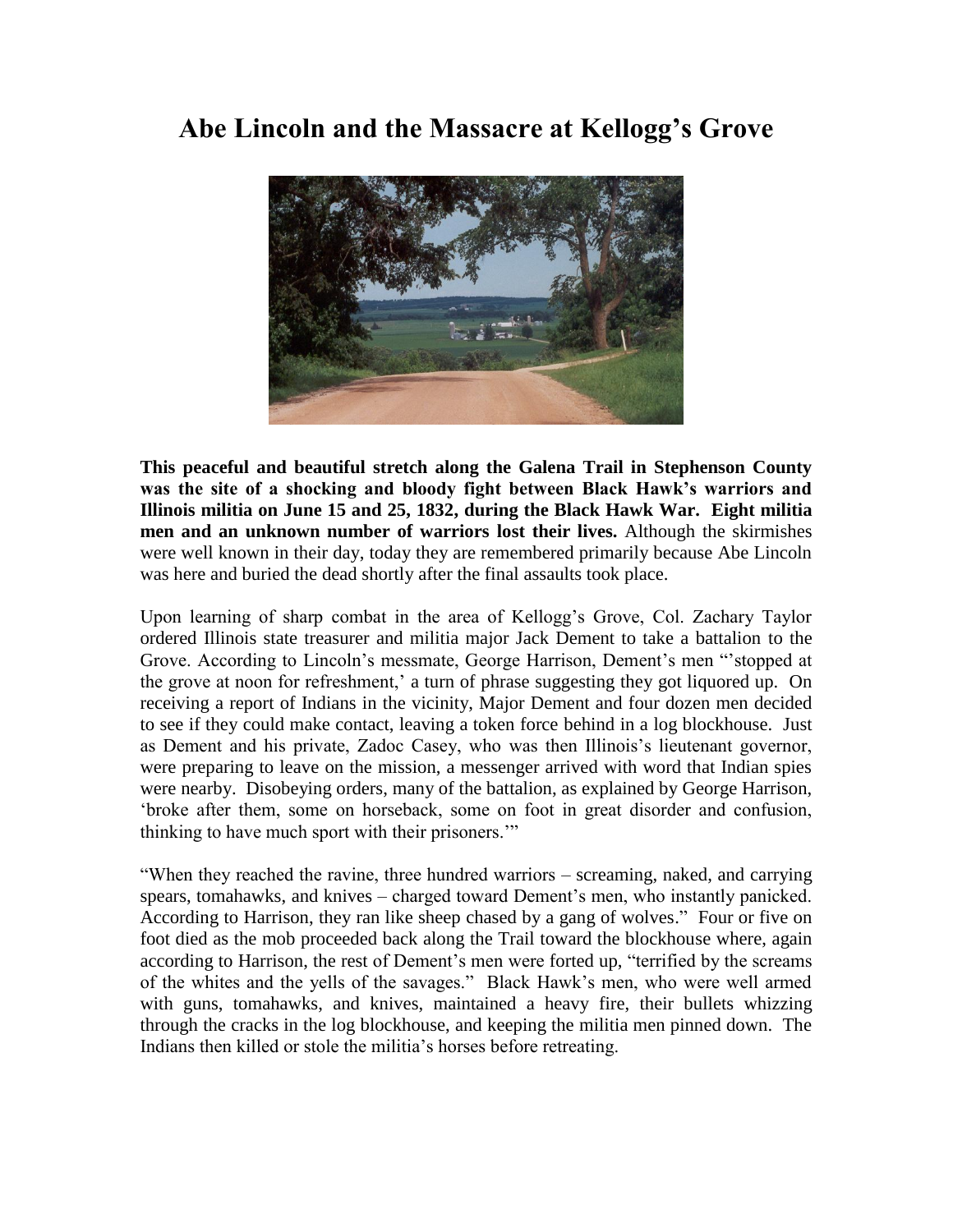## **Abe Lincoln and the Massacre at Kellogg's Grove**



**This peaceful and beautiful stretch along the Galena Trail in Stephenson County was the site of a shocking and bloody fight between Black Hawk's warriors and Illinois militia on June 15 and 25, 1832, during the Black Hawk War. Eight militia men and an unknown number of warriors lost their lives.** Although the skirmishes were well known in their day, today they are remembered primarily because Abe Lincoln was here and buried the dead shortly after the final assaults took place.

Upon learning of sharp combat in the area of Kellogg"s Grove, Col. Zachary Taylor ordered Illinois state treasurer and militia major Jack Dement to take a battalion to the Grove. According to Lincoln"s messmate, George Harrison, Dement"s men ""stopped at the grove at noon for refreshment,' a turn of phrase suggesting they got liquored up. On receiving a report of Indians in the vicinity, Major Dement and four dozen men decided to see if they could make contact, leaving a token force behind in a log blockhouse. Just as Dement and his private, Zadoc Casey, who was then Illinois"s lieutenant governor, were preparing to leave on the mission, a messenger arrived with word that Indian spies were nearby. Disobeying orders, many of the battalion, as explained by George Harrison, "broke after them, some on horseback, some on foot in great disorder and confusion, thinking to have much sport with their prisoners.""

"When they reached the ravine, three hundred warriors – screaming, naked, and carrying spears, tomahawks, and knives – charged toward Dement"s men, who instantly panicked. According to Harrison, they ran like sheep chased by a gang of wolves." Four or five on foot died as the mob proceeded back along the Trail toward the blockhouse where, again according to Harrison, the rest of Dement's men were forted up, "terrified by the screams of the whites and the yells of the savages." Black Hawk"s men, who were well armed with guns, tomahawks, and knives, maintained a heavy fire, their bullets whizzing through the cracks in the log blockhouse, and keeping the militia men pinned down. The Indians then killed or stole the militia"s horses before retreating.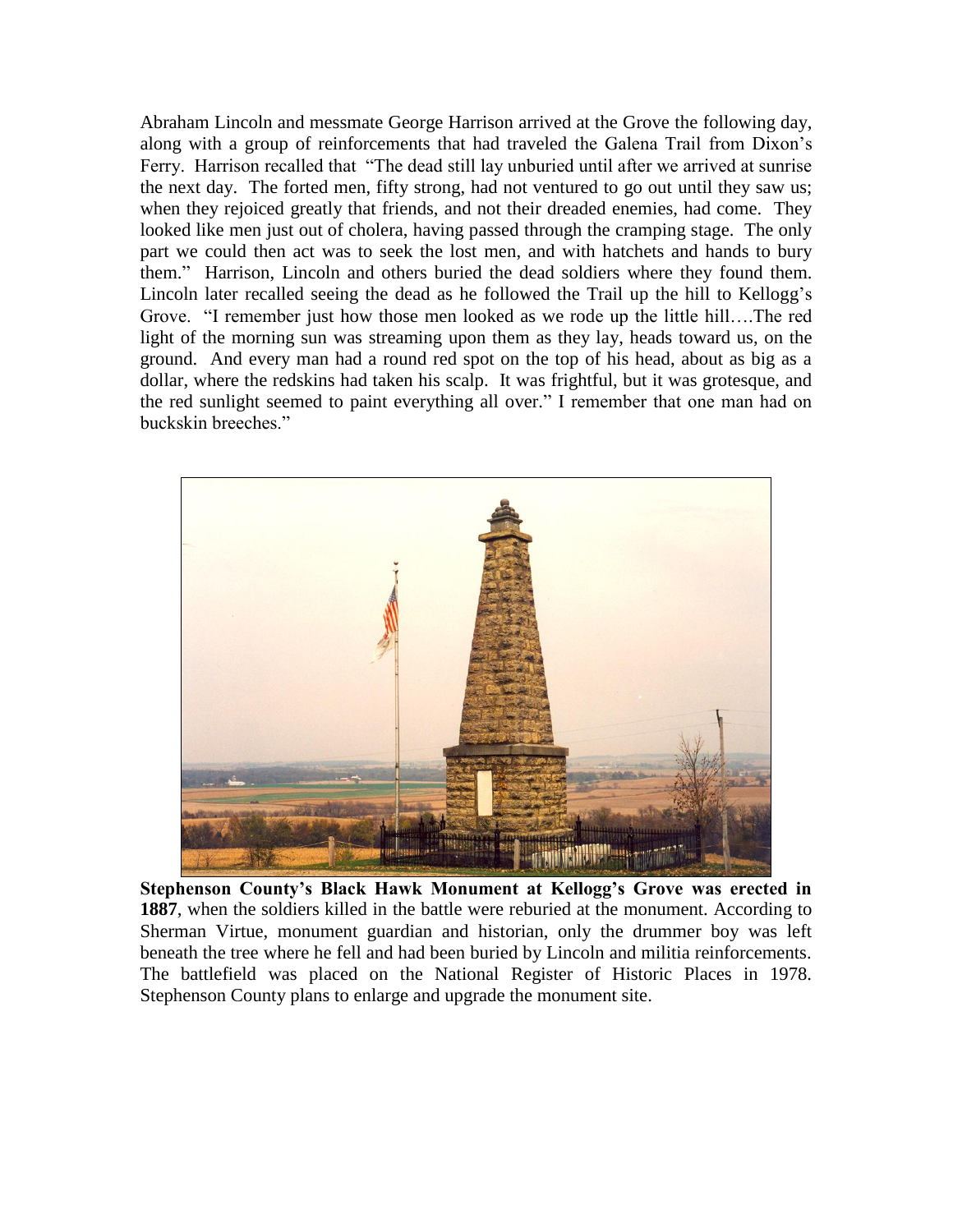Abraham Lincoln and messmate George Harrison arrived at the Grove the following day, along with a group of reinforcements that had traveled the Galena Trail from Dixon"s Ferry. Harrison recalled that "The dead still lay unburied until after we arrived at sunrise the next day. The forted men, fifty strong, had not ventured to go out until they saw us; when they rejoiced greatly that friends, and not their dreaded enemies, had come. They looked like men just out of cholera, having passed through the cramping stage. The only part we could then act was to seek the lost men, and with hatchets and hands to bury them." Harrison, Lincoln and others buried the dead soldiers where they found them. Lincoln later recalled seeing the dead as he followed the Trail up the hill to Kellogg"s Grove. "I remember just how those men looked as we rode up the little hill….The red light of the morning sun was streaming upon them as they lay, heads toward us, on the ground. And every man had a round red spot on the top of his head, about as big as a dollar, where the redskins had taken his scalp. It was frightful, but it was grotesque, and the red sunlight seemed to paint everything all over." I remember that one man had on buckskin breeches."



**Stephenson County's Black Hawk Monument at Kellogg's Grove was erected in 1887**, when the soldiers killed in the battle were reburied at the monument. According to Sherman Virtue, monument guardian and historian, only the drummer boy was left beneath the tree where he fell and had been buried by Lincoln and militia reinforcements. The battlefield was placed on the National Register of Historic Places in 1978. Stephenson County plans to enlarge and upgrade the monument site.